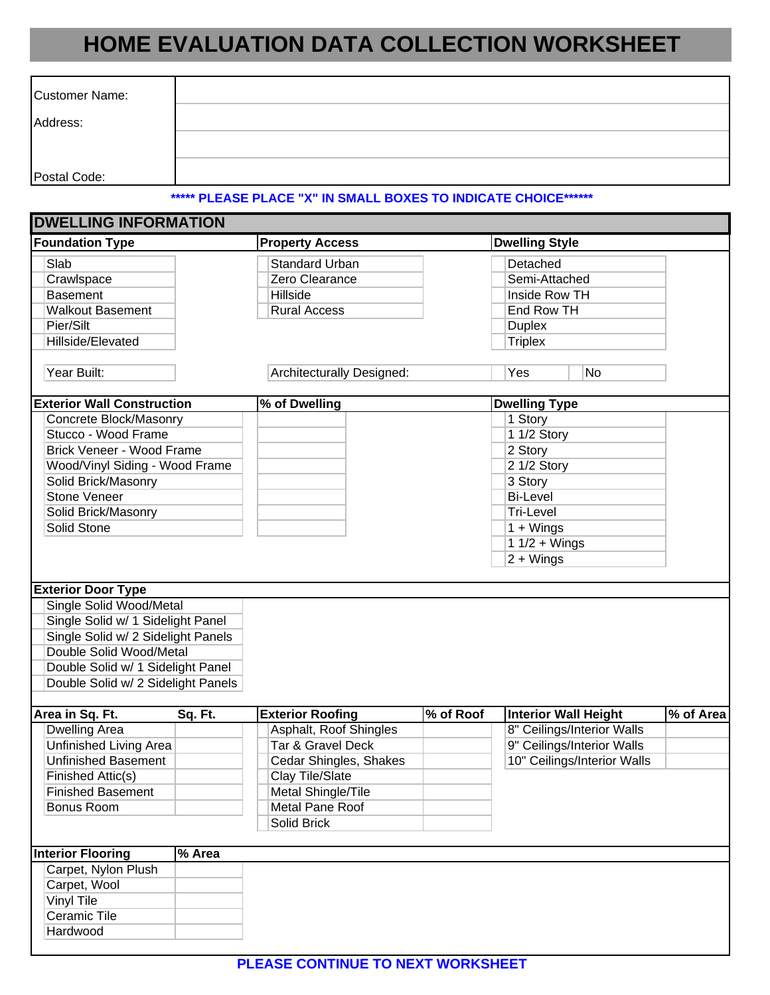## **HOME EVALUATION DATA COLLECTION WORKSHEET**

| <b>Customer Name:</b>             |                                                                |                       |
|-----------------------------------|----------------------------------------------------------------|-----------------------|
| Address:                          |                                                                |                       |
|                                   |                                                                |                       |
| Postal Code:                      |                                                                |                       |
|                                   | ***** PLEASE PLACE "X" IN SMALL BOXES TO INDICATE CHOICE****** |                       |
| <b>DWELLING INFORMATION</b>       |                                                                |                       |
| <b>Foundation Type</b>            | <b>Property Access</b>                                         | <b>Dwelling Style</b> |
| Slab                              | <b>Standard Urban</b>                                          | Detached              |
| Crawlspace                        | Zero Clearance                                                 | Semi-Attached         |
| <b>Basement</b>                   | Hillside                                                       | Inside Row TH         |
| <b>Walkout Basement</b>           | <b>Rural Access</b>                                            | End Row TH            |
| Pier/Silt                         |                                                                | <b>Duplex</b>         |
| Hillside/Elevated                 |                                                                | <b>Triplex</b>        |
| Year Built:                       | <b>Architecturally Designed:</b>                               | Yes<br><b>No</b>      |
| <b>Exterior Wall Construction</b> | % of Dwelling                                                  | <b>Dwelling Type</b>  |
| Concrete Block/Masonry            |                                                                | 1 Story               |
| Stucco - Wood Frame               |                                                                | 1 1/2 Story           |
| Brick Veneer - Wood Frame         |                                                                | 2 Story               |

|                                    | $2 + Wings$ |
|------------------------------------|-------------|
| <b>Exterior Door Type</b>          |             |
| Single Solid Wood/Metal            |             |
| Single Solid w/ 1 Sidelight Panel  |             |
| Single Solid w/ 2 Sidelight Panels |             |
| Double Solid Wood/Metal            |             |
| Double Solid w/ 1 Sidelight Panel  |             |
| Double Solid w/ 2 Sidelight Panels |             |
|                                    |             |

1 1/2 + Wings

Wood/Vinyl Siding - Wood Frame 2 1/2 Story Solid Brick/Masonry 3 Story Stone Veneer **Bi-Level** Solid Brick/Masonry **Tri-Level** Solid Stone 1 + Wings

| Area in Sq. Ft.            | Sq. Ft. | <b>Exterior Roofing</b> | % of Roof | Interior Wall Height        | % of Area |
|----------------------------|---------|-------------------------|-----------|-----------------------------|-----------|
| Dwelling Area              |         | Asphalt, Roof Shingles  |           | 8" Ceilings/Interior Walls  |           |
| Unfinished Living Area     |         | Tar & Gravel Deck       |           | 9" Ceilings/Interior Walls  |           |
| <b>Unfinished Basement</b> |         | Cedar Shingles, Shakes  |           | 10" Ceilings/Interior Walls |           |
| Finished Attic(s)          |         | Clay Tile/Slate         |           |                             |           |
| Finished Basement          |         | Metal Shingle/Tile      |           |                             |           |
| Bonus Room                 |         | Metal Pane Roof         |           |                             |           |
|                            |         | Solid Brick             |           |                             |           |
|                            |         |                         |           |                             |           |

| <b>Interior Flooring</b> | % Area |
|--------------------------|--------|
| Carpet, Nylon Plush      |        |
| Carpet, Wool             |        |
| <b>Vinyl Tile</b>        |        |
| Ceramic Tile             |        |
| Hardwood                 |        |